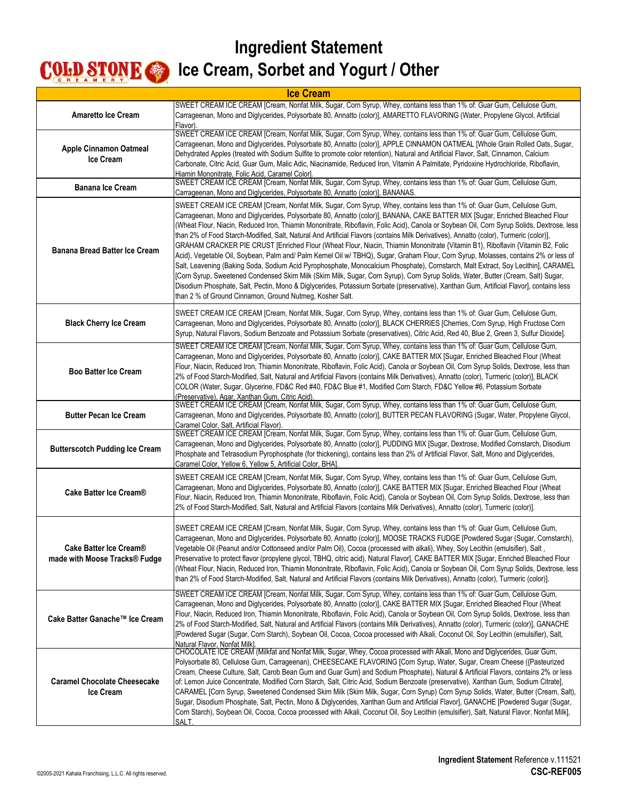| <b>Ice Cream</b>                                        |                                                                                                                                                                                                                                                                                                                                                                                                                                                                                                                                                                                                                                                                                                                                                                                                                                                                                                                                                                                                                                                                                                                                                                                                                                                                                                           |
|---------------------------------------------------------|-----------------------------------------------------------------------------------------------------------------------------------------------------------------------------------------------------------------------------------------------------------------------------------------------------------------------------------------------------------------------------------------------------------------------------------------------------------------------------------------------------------------------------------------------------------------------------------------------------------------------------------------------------------------------------------------------------------------------------------------------------------------------------------------------------------------------------------------------------------------------------------------------------------------------------------------------------------------------------------------------------------------------------------------------------------------------------------------------------------------------------------------------------------------------------------------------------------------------------------------------------------------------------------------------------------|
| <b>Amaretto Ice Cream</b>                               | SWEET CREAM ICE CREAM [Cream, Nonfat Milk, Sugar, Corn Syrup, Whey, contains less than 1% of: Guar Gum, Cellulose Gum,<br>Carrageenan, Mono and Diglycerides, Polysorbate 80, Annatto (color)], AMARETTO FLAVORING (Water, Propylene Glycol, Artificial<br>Flavor).                                                                                                                                                                                                                                                                                                                                                                                                                                                                                                                                                                                                                                                                                                                                                                                                                                                                                                                                                                                                                                       |
| <b>Apple Cinnamon Oatmeal</b><br>Ice Cream              | SWEET CREAM ICE CREAM [Cream, Nonfat Milk, Sugar, Corn Syrup, Whey, contains less than 1% of: Guar Gum, Cellulose Gum,<br>Carrageenan, Mono and Diglycerides, Polysorbate 80, Annatto (color)], APPLE CINNAMON OATMEAL [Whole Grain Rolled Oats, Sugar,<br>Dehydrated Apples (treated with Sodium Sulfite to promote color retention), Natural and Artificial Flavor, Salt, Cinnamon, Calcium<br>Carbonate, Citric Acid, Guar Gum, Malic Adic, Niacinamide, Reduced Iron, Vitamin A Palmitate, Pyridoxine Hydrochloride, Riboflavin,<br>Hiamin Mononitrate, Folic Acid, Caramel Color].                                                                                                                                                                                                                                                                                                                                                                                                                                                                                                                                                                                                                                                                                                                   |
| <b>Banana Ice Cream</b>                                 | SWEET CREAM ICE CREAM [Cream, Nonfat Milk, Sugar, Corn Syrup, Whey, contains less than 1% of: Guar Gum, Cellulose Gum,<br>Carrageenan, Mono and Diglycerides, Polysorbate 80, Annatto (color)], BANANAS.                                                                                                                                                                                                                                                                                                                                                                                                                                                                                                                                                                                                                                                                                                                                                                                                                                                                                                                                                                                                                                                                                                  |
| Banana Bread Batter Ice Cream                           | SWEET CREAM ICE CREAM [Cream, Nonfat Milk, Sugar, Corn Syrup, Whey, contains less than 1% of: Guar Gum, Cellulose Gum,<br>Carrageenan, Mono and Diglycerides, Polysorbate 80, Annatto (color)], BANANA, CAKE BATTER MIX [Sugar, Enriched Bleached Flour<br>(Wheat Flour, Niacin, Reduced Iron, Thiamin Mononitrate, Riboflavin, Folic Acid), Canola or Soybean Oil, Corn Syrup Solids, Dextrose, less<br>than 2% of Food Starch-Modified, Salt, Natural And Artificial Flavors (contains Milk Derivatives), Annatto (color), Turmeric (color)],<br>GRAHAM CRACKER PIE CRUST [Enriched Flour (Wheat Flour, Niacin, Thiamin Mononitrate {Vitamin B1}, Riboflavin {Vitamin B2, Folic<br>Acid}, Vegetable Oil, Soybean, Palm and/ Palm Kernel Oil w/ TBHQ), Sugar, Graham Flour, Corn Syrup, Molasses, contains 2% or less of<br>Salt, Leavening (Baking Soda, Sodium Acid Pyrophosphate, Monocalcium Phosphate), Cornstarch, Malt Extract, Soy Lecithin], CARAMEL<br>[Corn Syrup, Sweetened Condensed Skim Milk (Skim Milk, Sugar, Corn Syrup), Corn Syrup Solids, Water, Butter (Cream, Salt) Sugar,<br>Disodium Phosphate, Salt, Pectin, Mono & Diglycerides, Potassium Sorbate (preservative), Xanthan Gum, Artificial Flavor], contains less<br>than 2 % of Ground Cinnamon, Ground Nutmeg, Kosher Salt. |
| <b>Black Cherry Ice Cream</b>                           | SWEET CREAM ICE CREAM [Cream, Nonfat Milk, Sugar, Corn Syrup, Whey, contains less than 1% of: Guar Gum, Cellulose Gum,<br>Carrageenan, Mono and Diglycerides, Polysorbate 80, Annatto (color)], BLACK CHERRIES [Cherries, Corn Syrup, High Fructose Corn<br>Syrup, Natural Flavors, Sodium Benzoate and Potassium Sorbate (preservatives), Citric Acid, Red 40, Blue 2, Green 3, Sulfur Dioxide].                                                                                                                                                                                                                                                                                                                                                                                                                                                                                                                                                                                                                                                                                                                                                                                                                                                                                                         |
| <b>Boo Batter Ice Cream</b>                             | SWEET CREAM ICE CREAM [Cream, Nonfat Milk, Sugar, Corn Syrup, Whey, contains less than 1% of: Guar Gum, Cellulose Gum,<br>Carrageenan, Mono and Diglycerides, Polysorbate 80, Annatto (color)], CAKE BATTER MIX [Sugar, Enriched Bleached Flour (Wheat<br>Flour, Niacin, Reduced Iron, Thiamin Mononitrate, Riboflavin, Folic Acid), Canola or Soybean Oil, Corn Syrup Solids, Dextrose, less than<br>2% of Food Starch-Modified, Salt, Natural and Artificial Flavors (contains Milk Derivatives), Annatto (color), Turmeric (color)], BLACK<br>COLOR (Water, Sugar, Glycerine, FD&C Red #40, FD&C Blue #1, Modified Corn Starch, FD&C Yellow #6, Potassium Sorbate<br>(Preservative), Agar, Xanthan Gum, Citric Acid).                                                                                                                                                                                                                                                                                                                                                                                                                                                                                                                                                                                  |
| <b>Butter Pecan Ice Cream</b>                           | SWEET CREAM ICE CREAM [Cream, Nonfat Milk, Sugar, Corn Syrup, Whey, contains less than 1% of: Guar Gum, Cellulose Gum,<br>Carrageenan, Mono and Diglycerides, Polysorbate 80, Annatto (color)], BUTTER PECAN FLAVORING (Sugar, Water, Propylene Glycol,<br>Caramel Color, Salt, Artificial Flavor).                                                                                                                                                                                                                                                                                                                                                                                                                                                                                                                                                                                                                                                                                                                                                                                                                                                                                                                                                                                                       |
| <b>Butterscotch Pudding Ice Cream</b>                   | SWEET CREAM ICE CREAM [Cream, Nonfat Milk, Sugar, Corn Syrup, Whey, contains less than 1% of: Guar Gum, Cellulose Gum,<br>Carrageenan, Mono and Diglycerides, Polysorbate 80, Annatto (color)], PUDDING MIX [Sugar, Dextrose, Modified Cornstarch, Disodium<br>Phosphate and Tetrasodium Pyrophosphate (for thickening), contains less than 2% of Artificial Flavor, Salt, Mono and Diglycerides,<br>Caramel Color, Yellow 6, Yellow 5, Artificial Color, BHA].                                                                                                                                                                                                                                                                                                                                                                                                                                                                                                                                                                                                                                                                                                                                                                                                                                           |
| Cake Batter Ice Cream®                                  | SWEET CREAM ICE CREAM [Cream, Nonfat Milk, Sugar, Corn Syrup, Whey, contains less than 1% of: Guar Gum, Cellulose Gum,<br>Carrageenan, Mono and Diglycerides, Polysorbate 80, Annatto (color)], CAKE BATTER MIX [Sugar, Enriched Bleached Flour (Wheat<br>Flour, Niacin, Reduced Iron, Thiamin Mononitrate, Riboflavin, Folic Acid), Canola or Soybean Oil, Corn Syrup Solids, Dextrose, less than<br>2% of Food Starch-Modified, Salt, Natural and Artificial Flavors (contains Milk Derivatives), Annatto (color), Turmeric (color)].                                                                                                                                                                                                                                                                                                                                                                                                                                                                                                                                                                                                                                                                                                                                                                   |
| Cake Batter Ice Cream®<br>made with Moose Tracks® Fudge | SWEET CREAM ICE CREAM [Cream, Nonfat Milk, Sugar, Corn Syrup, Whey, contains less than 1% of: Guar Gum, Cellulose Gum,<br>Carrageenan, Mono and Diglycerides, Polysorbate 80, Annatto (color)], MOOSE TRACKS FUDGE [Powdered Sugar (Sugar, Cornstarch),<br>Vegetable Oil (Peanut and/or Cottonseed and/or Palm Oil), Cocoa (processed with alkali), Whey, Soy Lecithin (emulsifier), Salt,<br>Preservative to protect flavor (propylene glycol, TBHQ, citric acid), Natural Flavor], CAKE BATTER MIX [Sugar, Enriched Bleached Flour<br>(Wheat Flour, Niacin, Reduced Iron, Thiamin Mononitrate, Riboflavin, Folic Acid), Canola or Soybean Oil, Corn Syrup Solids, Dextrose, less<br>than 2% of Food Starch-Modified, Salt, Natural and Artificial Flavors (contains Milk Derivatives), Annatto (color), Turmeric (color)].                                                                                                                                                                                                                                                                                                                                                                                                                                                                              |
| Cake Batter Ganache™ Ice Cream                          | SWEET CREAM ICE CREAM [Cream, Nonfat Milk, Sugar, Corn Syrup, Whey, contains less than 1% of: Guar Gum, Cellulose Gum,<br>Carrageenan, Mono and Diglycerides, Polysorbate 80, Annatto (color)], CAKE BATTER MIX [Sugar, Enriched Bleached Flour (Wheat<br>Flour, Niacin, Reduced Iron, Thiamin Mononitrate, Riboflavin, Folic Acid), Canola or Soybean Oil, Corn Syrup Solids, Dextrose, less than<br>2% of Food Starch-Modified, Salt, Natural and Artificial Flavors (contains Milk Derivatives), Annatto (color), Turmeric (color)], GANACHE<br>[Powdered Sugar (Sugar, Corn Starch), Soybean Oil, Cocoa, Cocoa processed with Alkali, Coconut Oil, Soy Lecithin (emulsifier), Salt,<br>Natural Flavor, Nonfat Milk].                                                                                                                                                                                                                                                                                                                                                                                                                                                                                                                                                                                  |
| <b>Caramel Chocolate Cheesecake</b><br><b>Ice Cream</b> | CHOCOLATE ICE CREAM (Milkfat and Nonfat Milk, Sugar, Whey, Cocoa processed with Alkali, Mono and Diglycerides, Guar Gum,<br>Polysorbate 80, Cellulose Gum, Carrageenan), CHEESECAKE FLAVORING [Corn Syrup, Water, Sugar, Cream Cheese ({Pasteurized<br>Cream, Cheese Culture, Salt, Carob Bean Gum and Guar Gum} and Sodium Phosphate), Natural & Artificial Flavors, contains 2% or less<br>of: Lemon Juice Concentrate, Modified Corn Starch, Salt, Citric Acid, Sodium Benzoate (preservative), Xanthan Gum, Sodium Citrate],<br>CARAMEL [Corn Syrup, Sweetened Condensed Skim Milk (Skim Milk, Sugar, Corn Syrup) Corn Syrup Solids, Water, Butter (Cream, Salt),<br>Sugar, Disodium Phosphate, Salt, Pectin, Mono & Diglycerides, Xanthan Gum and Artificial Flavor], GANACHE [Powdered Sugar (Sugar,<br>Corn Starch), Soybean Oil, Cocoa, Cocoa processed with Alkali, Coconut Oil, Soy Lecithin (emulsifier), Salt, Natural Flavor, Nonfat Milk],<br>SALT.                                                                                                                                                                                                                                                                                                                                         |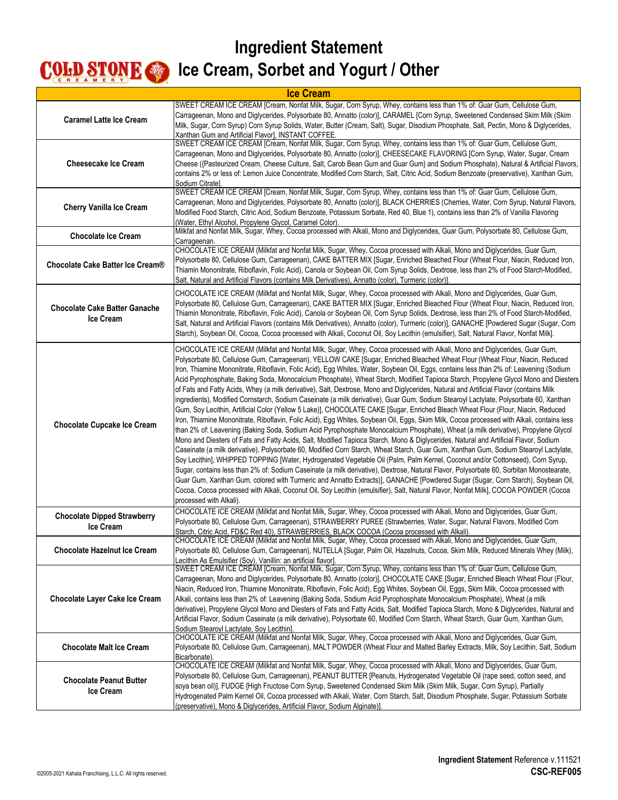# **Ingredient Statement**

#### **COLD STONE CODE Cream, Sorbet and Yogurt / Other**

| <b>Ice Cream</b>                                       |                                                                                                                                                                                                                                                                                                                                                                                                                                                                                                                                                                                                                                                                                                                                                                                                                                                                                                                                                                                                                                                                                                                                                                                                                                                                                                                                                                                                                                                                                                                                                                                                                                                                                                                                                                                                                                                                                                                                                                                                                                                                                                                    |
|--------------------------------------------------------|--------------------------------------------------------------------------------------------------------------------------------------------------------------------------------------------------------------------------------------------------------------------------------------------------------------------------------------------------------------------------------------------------------------------------------------------------------------------------------------------------------------------------------------------------------------------------------------------------------------------------------------------------------------------------------------------------------------------------------------------------------------------------------------------------------------------------------------------------------------------------------------------------------------------------------------------------------------------------------------------------------------------------------------------------------------------------------------------------------------------------------------------------------------------------------------------------------------------------------------------------------------------------------------------------------------------------------------------------------------------------------------------------------------------------------------------------------------------------------------------------------------------------------------------------------------------------------------------------------------------------------------------------------------------------------------------------------------------------------------------------------------------------------------------------------------------------------------------------------------------------------------------------------------------------------------------------------------------------------------------------------------------------------------------------------------------------------------------------------------------|
| <b>Caramel Latte Ice Cream</b>                         | SWEET CREAM ICE CREAM [Cream, Nonfat Milk, Sugar, Corn Syrup, Whey, contains less than 1% of: Guar Gum, Cellulose Gum,<br>Carrageenan, Mono and Diglycerides, Polysorbate 80, Annatto (color)], CARAMEL [Corn Syrup, Sweetened Condensed Skim Milk (Skim<br>Milk, Sugar, Corn Syrup) Corn Syrup Solids, Water, Butter (Cream, Salt), Sugar, Disodium Phosphate, Salt, Pectin, Mono & Diglycerides,<br>Xanthan Gum and Artificial Flavor], INSTANT COFFEE.                                                                                                                                                                                                                                                                                                                                                                                                                                                                                                                                                                                                                                                                                                                                                                                                                                                                                                                                                                                                                                                                                                                                                                                                                                                                                                                                                                                                                                                                                                                                                                                                                                                          |
| <b>Cheesecake Ice Cream</b>                            | SWEET CREAM ICE CREAM [Cream, Nonfat Milk, Sugar, Corn Syrup, Whey, contains less than 1% of: Guar Gum, Cellulose Gum,<br>Carrageenan, Mono and Diglycerides, Polysorbate 80, Annatto (color)], CHEESECAKE FLAVORING [Corn Syrup, Water, Sugar, Cream<br>Cheese ({Pasteurized Cream, Cheese Culture, Salt, Carob Bean Gum and Guar Gum} and Sodium Phosphate), Natural & Artificial Flavors,<br>contains 2% or less of: Lemon Juice Concentrate, Modified Corn Starch, Salt, Citric Acid, Sodium Benzoate (preservative), Xanthan Gum,<br>Sodium Citrate].                                                                                                                                                                                                                                                                                                                                                                                                                                                                                                                                                                                                                                                                                                                                                                                                                                                                                                                                                                                                                                                                                                                                                                                                                                                                                                                                                                                                                                                                                                                                                         |
| <b>Cherry Vanilla Ice Cream</b>                        | SWEET CREAM ICE CREAM [Cream, Nonfat Milk, Sugar, Corn Syrup, Whey, contains less than 1% of: Guar Gum, Cellulose Gum,<br>Carrageenan, Mono and Diglycerides, Polysorbate 80, Annatto (color)], BLACK CHERRIES (Cherries, Water, Corn Syrup, Natural Flavors,<br>Modified Food Starch, Citric Acid, Sodium Benzoate, Potassium Sorbate, Red 40, Blue 1), contains less than 2% of Vanilla Flavoring<br>(Water, Ethyl Alcohol, Propylene Glycol, Caramel Color).                                                                                                                                                                                                                                                                                                                                                                                                                                                                                                                                                                                                                                                                                                                                                                                                                                                                                                                                                                                                                                                                                                                                                                                                                                                                                                                                                                                                                                                                                                                                                                                                                                                    |
| <b>Chocolate Ice Cream</b>                             | Milkfat and Nonfat Milk, Sugar, Whey, Cocoa processed with Alkali, Mono and Diglycerides, Guar Gum, Polysorbate 80, Cellulose Gum,<br>Carrageenan.                                                                                                                                                                                                                                                                                                                                                                                                                                                                                                                                                                                                                                                                                                                                                                                                                                                                                                                                                                                                                                                                                                                                                                                                                                                                                                                                                                                                                                                                                                                                                                                                                                                                                                                                                                                                                                                                                                                                                                 |
| Chocolate Cake Batter Ice Cream®                       | CHOCOLATE ICE CREAM (Milkfat and Nonfat Milk, Sugar, Whey, Cocoa processed with Alkali, Mono and Diglycerides, Guar Gum,<br>Polysorbate 80, Cellulose Gum, Carrageenan), CAKE BATTER MIX [Sugar, Enriched Bleached Flour (Wheat Flour, Niacin, Reduced Iron,<br>Thiamin Mononitrate, Riboflavin, Folic Acid), Canola or Soybean Oil, Corn Syrup Solids, Dextrose, less than 2% of Food Starch-Modified,<br>Salt, Natural and Artificial Flavors (contains Milk Derivatives), Annatto (color), Turmeric (color)].                                                                                                                                                                                                                                                                                                                                                                                                                                                                                                                                                                                                                                                                                                                                                                                                                                                                                                                                                                                                                                                                                                                                                                                                                                                                                                                                                                                                                                                                                                                                                                                                   |
| <b>Chocolate Cake Batter Ganache</b><br>Ice Cream      | CHOCOLATE ICE CREAM (Milkfat and Nonfat Milk, Sugar, Whey, Cocoa processed with Alkali, Mono and Diglycerides, Guar Gum,<br>Polysorbate 80, Cellulose Gum, Carrageenan), CAKE BATTER MIX [Sugar, Enriched Bleached Flour (Wheat Flour, Niacin, Reduced Iron,<br>Thiamin Mononitrate, Riboflavin, Folic Acid), Canola or Soybean Oil, Corn Syrup Solids, Dextrose, less than 2% of Food Starch-Modified,<br>Salt, Natural and Artificial Flavors (contains Milk Derivatives), Annatto (color), Turmeric (color)], GANACHE [Powdered Sugar (Sugar, Corn<br>Starch), Soybean Oil, Cocoa, Cocoa processed with Alkali, Coconut Oil, Soy Lecithin (emulsifier), Salt, Natural Flavor, Nonfat Milk].                                                                                                                                                                                                                                                                                                                                                                                                                                                                                                                                                                                                                                                                                                                                                                                                                                                                                                                                                                                                                                                                                                                                                                                                                                                                                                                                                                                                                     |
| <b>Chocolate Cupcake Ice Cream</b>                     | CHOCOLATE ICE CREAM (Milkfat and Nonfat Milk, Sugar, Whey, Cocoa processed with Alkali, Mono and Diglycerides, Guar Gum,<br>Polysorbate 80, Cellulose Gum, Carrageenan), YELLOW CAKE [Sugar, Enriched Bleached Wheat Flour (Wheat Flour, Niacin, Reduced<br>Iron, Thiamine Mononitrate, Riboflavin, Folic Acid), Egg Whites, Water, Soybean Oil, Eggs, contains less than 2% of: Leavening (Sodium<br>Acid Pyrophosphate, Baking Soda, Monocalcium Phosphate), Wheat Starch, Modified Tapioca Starch, Propylene Glycol Mono and Diesters<br>of Fats and Fatty Acids, Whey (a milk derivative), Salt, Dextrose, Mono and Diglycerides, Natural and Artificial Flavor (contains Milk<br>ingredients), Modified Cornstarch, Sodium Caseinate (a milk derivative), Guar Gum, Sodium Stearoyl Lactylate, Polysorbate 60, Xanthan<br>Gum, Soy Lecithin, Artificial Color (Yellow 5 Lake)], CHOCOLATE CAKE [Sugar, Enriched Bleach Wheat Flour (Flour, Niacin, Reduced<br>Iron, Thiamine Mononitrate, Riboflavin, Folic Acid), Egg Whites, Soybean Oil, Eggs, Skim Milk, Cocoa processed with Alkali, contains less<br>than 2% of: Leavening (Baking Soda, Sodium Acid Pyrophosphate Monocalcium Phosphate), Wheat (a milk derivative), Propylene Glycol<br>Mono and Diesters of Fats and Fatty Acids, Salt, Modified Tapioca Starch, Mono & Diglycerides, Natural and Artificial Flavor, Sodium<br>Caseinate (a milk derivative), Polysorbate 60, Modified Corn Starch, Wheat Starch, Guar Gum, Xanthan Gum, Sodium Stearoyl Lactylate,<br>Soy Lecithin], WHIPPED TOPPING [Water, Hydrogenated Vegetable Oil (Palm, Palm Kernel, Coconut and/or Cottonseed), Corn Syrup,<br>Sugar, contains less than 2% of: Sodium Caseinate (a milk derivative), Dextrose, Natural Flavor, Polysorbate 60, Sorbitan Monostearate,<br>Guar Gum, Xanthan Gum, colored with Turmeric and Annatto Extracts)], GANACHE [Powdered Sugar (Sugar, Corn Starch), Soybean Oil,<br>Cocoa, Cocoa processed with Alkali, Coconut Oil, Soy Lecithin (emulsifier), Salt, Natural Flavor, Nonfat Milk], COCOA POWDER (Cocoa<br>processed with Alkali). |
| <b>Chocolate Dipped Strawberry</b><br><b>Ice Cream</b> | CHOCOLATE ICE CREAM (Milkfat and Nonfat Milk, Sugar, Whey, Cocoa processed with Alkali, Mono and Diglycerides, Guar Gum,<br>Polysorbate 80, Cellulose Gum, Carrageenan), STRAWBERRY PUREE (Strawberries, Water, Sugar, Natural Flavors, Modified Corn<br>Starch, Citric Acid, FD&C Red 40), STRAWBERRIES, BLACK COCOA (Cocoa processed with Alkali).                                                                                                                                                                                                                                                                                                                                                                                                                                                                                                                                                                                                                                                                                                                                                                                                                                                                                                                                                                                                                                                                                                                                                                                                                                                                                                                                                                                                                                                                                                                                                                                                                                                                                                                                                               |
| <b>Chocolate Hazelnut Ice Cream</b>                    | CHOCOLATE ICE CREAM (Milkfat and Nonfat Milk, Sugar, Whey, Cocoa processed with Alkali, Mono and Diglycerides, Guar Gum,<br>Polysorbate 80, Cellulose Gum, Carrageenan), NUTELLA [Sugar, Palm Oil, Hazelnuts, Cocoa, Skim Milk, Reduced Minerals Whey (Milk),<br>Lecithin As Emulsifier (Soy), Vanillin: an artificial flavor]                                                                                                                                                                                                                                                                                                                                                                                                                                                                                                                                                                                                                                                                                                                                                                                                                                                                                                                                                                                                                                                                                                                                                                                                                                                                                                                                                                                                                                                                                                                                                                                                                                                                                                                                                                                     |
| <b>Chocolate Layer Cake Ice Cream</b>                  | SWEET CREAM ICE CRÉAM [Cream, Nonfat Milk, Sugar, Corn Syrup, Whey, contains less than 1% of: Guar Gum, Cellulose Gum,<br>Carrageenan, Mono and Diglycerides, Polysorbate 80, Annatto (color)], CHOCOLATE CAKE [Sugar, Enriched Bleach Wheat Flour (Flour,<br>Niacin, Reduced Iron, Thiamine Mononitrate, Riboflavin, Folic Acid), Egg Whites, Soybean Oil, Eggs, Skim Milk, Cocoa processed with<br>Alkali, contains less than 2% of: Leavening (Baking Soda, Sodium Acid Pyrophosphate Monocalcium Phosphate), Wheat (a milk<br>derivative), Propylene Glycol Mono and Diesters of Fats and Fatty Acids, Salt, Modified Tapioca Starch, Mono & Diglycerides, Natural and<br>Artificial Flavor, Sodium Caseinate (a milk derivative), Polysorbate 60, Modified Corn Starch, Wheat Starch, Guar Gum, Xanthan Gum,<br>Sodium Stearoyl Lactylate, Soy Lecithin]                                                                                                                                                                                                                                                                                                                                                                                                                                                                                                                                                                                                                                                                                                                                                                                                                                                                                                                                                                                                                                                                                                                                                                                                                                                      |
| <b>Chocolate Malt Ice Cream</b>                        | CHOCOLATE ICE CREAM (Milkfat and Nonfat Milk, Sugar, Whey, Cocoa processed with Alkali, Mono and Diglycerides, Guar Gum,<br>Polysorbate 80, Cellulose Gum, Carrageenan), MALT POWDER (Wheat Flour and Malted Barley Extracts, Milk, Soy Lecithin, Salt, Sodium<br>Bicarbonate)                                                                                                                                                                                                                                                                                                                                                                                                                                                                                                                                                                                                                                                                                                                                                                                                                                                                                                                                                                                                                                                                                                                                                                                                                                                                                                                                                                                                                                                                                                                                                                                                                                                                                                                                                                                                                                     |
| <b>Chocolate Peanut Butter</b><br>Ice Cream            | CHOCOLATE ICE CREAM (Milkfat and Nonfat Milk, Sugar, Whey, Cocoa processed with Alkali, Mono and Diglycerides, Guar Gum,<br>Polysorbate 80, Cellulose Gum, Carrageenan), PEANUT BUTTER [Peanuts, Hydrogenated Vegetable Oil (rape seed, cotton seed, and<br>soya bean oil)], FUDGE [High Fructose Corn Syrup, Sweetened Condensed Skim Milk (Skim Milk, Sugar, Corn Syrup), Partially<br>Hydrogenated Palm Kernel Oil, Cocoa processed with Alkali, Water, Corn Starch, Salt, Disodium Phosphate, Sugar, Potassium Sorbate<br>(preservative), Mono & Diglycerides, Artificial Flavor, Sodium Alginate)].                                                                                                                                                                                                                                                                                                                                                                                                                                                                                                                                                                                                                                                                                                                                                                                                                                                                                                                                                                                                                                                                                                                                                                                                                                                                                                                                                                                                                                                                                                           |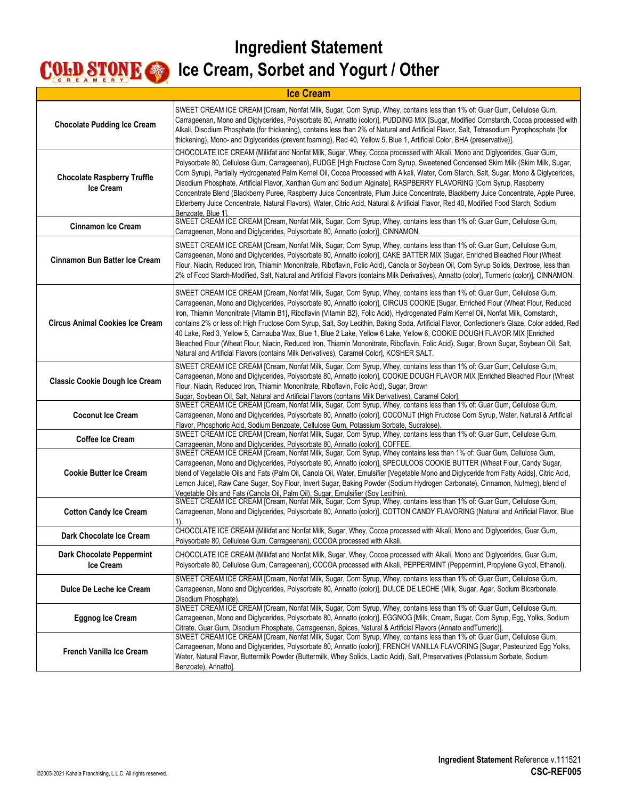| <b>Ice Cream</b>                                       |                                                                                                                                                                                                                                                                                                                                                                                                                                                                                                                                                                                                                                                                                                                                                                                                                                                                                                                      |
|--------------------------------------------------------|----------------------------------------------------------------------------------------------------------------------------------------------------------------------------------------------------------------------------------------------------------------------------------------------------------------------------------------------------------------------------------------------------------------------------------------------------------------------------------------------------------------------------------------------------------------------------------------------------------------------------------------------------------------------------------------------------------------------------------------------------------------------------------------------------------------------------------------------------------------------------------------------------------------------|
| <b>Chocolate Pudding Ice Cream</b>                     | SWEET CREAM ICE CREAM [Cream, Nonfat Milk, Sugar, Corn Syrup, Whey, contains less than 1% of: Guar Gum, Cellulose Gum,<br>Carrageenan, Mono and Diglycerides, Polysorbate 80, Annatto (color)], PUDDING MIX [Sugar, Modified Cornstarch, Cocoa processed with<br>Alkali, Disodium Phosphate (for thickening), contains less than 2% of Natural and Artificial Flavor, Salt, Tetrasodium Pyrophosphate (for<br>thickening), Mono- and Diglycerides (prevent foaming), Red 40, Yellow 5, Blue 1, Artificial Color, BHA (preservative)].                                                                                                                                                                                                                                                                                                                                                                                |
| <b>Chocolate Raspberry Truffle</b><br><b>Ice Cream</b> | CHOCOLATE ICE CREAM (Milkfat and Nonfat Milk, Sugar, Whey, Cocoa processed with Alkali, Mono and Diglycerides, Guar Gum,<br>Polysorbate 80, Cellulose Gum, Carrageenan), FUDGE [High Fructose Corn Syrup, Sweetened Condensed Skim Milk (Skim Milk, Sugar,<br>Corn Syrup), Partially Hydrogenated Palm Kernel Oil, Cocoa Processed with Alkali, Water, Corn Starch, Salt, Sugar, Mono & Diglycerides,<br>Disodium Phosphate, Artificial Flavor, Xanthan Gum and Sodium Alginate], RASPBERRY FLAVORING [Corn Syrup, Raspberry<br>Concentrate Blend (Blackberry Puree, Raspberry Juice Concentrate, Plum Juice Concentrate, Blackberry Juice Concentrate, Apple Puree,<br>Elderberry Juice Concentrate, Natural Flavors), Water, Citric Acid, Natural & Artificial Flavor, Red 40, Modified Food Starch, Sodium<br>Benzoate, Blue 1].                                                                                  |
| <b>Cinnamon Ice Cream</b>                              | SWEET CREAM ICE CREAM [Cream, Nonfat Milk, Sugar, Corn Syrup, Whey, contains less than 1% of: Guar Gum, Cellulose Gum,<br>Carrageenan, Mono and Diglycerides, Polysorbate 80, Annatto (color)], CINNAMON.                                                                                                                                                                                                                                                                                                                                                                                                                                                                                                                                                                                                                                                                                                            |
| Cinnamon Bun Batter Ice Cream                          | SWEET CREAM ICE CREAM [Cream, Nonfat Milk, Sugar, Corn Syrup, Whey, contains less than 1% of: Guar Gum, Cellulose Gum,<br>Carrageenan, Mono and Diglycerides, Polysorbate 80, Annatto (color)], CAKE BATTER MIX [Sugar, Enriched Bleached Flour (Wheat<br>Flour, Niacin, Reduced Iron, Thiamin Mononitrate, Riboflavin, Folic Acid), Canola or Soybean Oil, Corn Syrup Solids, Dextrose, less than<br>[2% of Food Starch-Modified, Salt, Natural and Artificial Flavors (contains Milk Derivatives), Annatto (color), Turmeric (color)], CINNAMON.                                                                                                                                                                                                                                                                                                                                                                   |
| <b>Circus Animal Cookies Ice Cream</b>                 | SWEET CREAM ICE CREAM [Cream, Nonfat Milk, Sugar, Corn Syrup, Whey, contains less than 1% of: Guar Gum, Cellulose Gum,<br>Carrageenan, Mono and Diglycerides, Polysorbate 80, Annatto (color)], CIRCUS COOKIE [Sugar, Enriched Flour (Wheat Flour, Reduced<br>Iron, Thiamin Mononitrate {Vitamin B1}, Riboflavin {Vitamin B2}, Folic Acid), Hydrogenated Palm Kernel Oil, Nonfat Milk, Cornstarch,<br>contains 2% or less of: High Fructose Corn Syrup, Salt, Soy Lecithin, Baking Soda, Artificial Flavor, Confectioner's Glaze, Color added, Red<br>40 Lake, Red 3, Yellow 5, Carnauba Wax, Blue 1, Blue 2 Lake, Yellow 6 Lake, Yellow 6, COOKIE DOUGH FLAVOR MIX [Enriched<br>Bleached Flour (Wheat Flour, Niacin, Reduced Iron, Thiamin Mononitrate, Riboflavin, Folic Acid), Sugar, Brown Sugar, Soybean Oil, Salt,<br>Natural and Artificial Flavors (contains Milk Derivatives), Caramel Color], KOSHER SALT. |
| <b>Classic Cookie Dough Ice Cream</b>                  | SWEET CREAM ICE CREAM [Cream, Nonfat Milk, Sugar, Corn Syrup, Whey, contains less than 1% of: Guar Gum, Cellulose Gum,<br>Carrageenan, Mono and Diglycerides, Polysorbate 80, Annatto (color)], COOKIE DOUGH FLAVOR MIX [Enriched Bleached Flour (Wheat<br>Flour, Niacin, Reduced Iron, Thiamin Mononitrate, Riboflavin, Folic Acid), Sugar, Brown<br>Sugar, Soybean Oil, Salt, Natural and Artificial Flavors (contains Milk Derivatives), Caramel Color].                                                                                                                                                                                                                                                                                                                                                                                                                                                          |
| <b>Coconut Ice Cream</b>                               | SWEET CREAM ICE CREAM [Cream, Nonfat Milk, Sugar, Corn Syrup, Whey, contains less than 1% of: Guar Gum, Cellulose Gum,<br>Carrageenan, Mono and Diglycerides, Polysorbate 80, Annatto (color)], COCONUT (High Fructose Corn Syrup, Water, Natural & Artificial<br>Flavor, Phosphoric Acid, Sodium Benzoate, Cellulose Gum, Potassium Sorbate, Sucralose).                                                                                                                                                                                                                                                                                                                                                                                                                                                                                                                                                            |
| <b>Coffee Ice Cream</b>                                | SWEET CREAM ICE CREAM [Cream, Nonfat Milk, Sugar, Corn Syrup, Whey, contains less than 1% of: Guar Gum, Cellulose Gum,<br>Carrageenan, Mono and Diglycerides, Polysorbate 80, Annatto (color)], COFFEE.                                                                                                                                                                                                                                                                                                                                                                                                                                                                                                                                                                                                                                                                                                              |
| <b>Cookie Butter Ice Cream</b>                         | SWEET CREAM ICE CREAM [Cream, Nonfat Milk, Sugar, Corn Syrup, Whey contains less than 1% of: Guar Gum, Cellulose Gum,<br>Carrageenan, Mono and Diglycerides, Polysorbate 80, Annatto (color)], SPECULOOS COOKIE BUTTER (Wheat Flour, Candy Sugar,<br>blend of Vegetable Oils and Fats (Palm Oil, Canola Oil, Water, Emulsifier [Vegetable Mono and Diglyceride from Fatty Acids], Citric Acid,<br>Lemon Juice), Raw Cane Sugar, Soy Flour, Invert Sugar, Baking Powder (Sodium Hydrogen Carbonate), Cinnamon, Nutmeg), blend of<br>Vegetable Oils and Fats (Canola Oil, Palm Oil), Sugar, Emulsifier (Soy Lecithin).                                                                                                                                                                                                                                                                                                 |
| <b>Cotton Candy Ice Cream</b>                          | SWEET CREAM ICE CREAM [Cream, Nonfat Milk, Sugar, Corn Syrup, Whey, contains less than 1% of: Guar Gum, Cellulose Gum,<br>Carrageenan, Mono and Diglycerides, Polysorbate 80, Annatto (color)], COTTON CANDY FLAVORING (Natural and Artificial Flavor, Blue                                                                                                                                                                                                                                                                                                                                                                                                                                                                                                                                                                                                                                                          |
| Dark Chocolate Ice Cream                               | CHOCOLATE ICE CREAM (Milkfat and Nonfat Milk, Sugar, Whey, Cocoa processed with Alkali, Mono and Diglycerides, Guar Gum,<br>Polysorbate 80, Cellulose Gum, Carrageenan), COCOA processed with Alkali.                                                                                                                                                                                                                                                                                                                                                                                                                                                                                                                                                                                                                                                                                                                |
| <b>Dark Chocolate Peppermint</b><br>Ice Cream          | CHOCOLATE ICE CREAM (Milkfat and Nonfat Milk, Sugar, Whey, Cocoa processed with Alkali, Mono and Diglycerides, Guar Gum,<br>Polysorbate 80, Cellulose Gum, Carrageenan), COCOA processed with Alkali, PEPPERMINT (Peppermint, Propylene Glycol, Ethanol),                                                                                                                                                                                                                                                                                                                                                                                                                                                                                                                                                                                                                                                            |
| Dulce De Leche Ice Cream                               | SWEET CREAM ICE CREAM [Cream, Nonfat Milk, Sugar, Corn Syrup, Whey, contains less than 1% of: Guar Gum, Cellulose Gum,<br>Carrageenan, Mono and Diglycerides, Polysorbate 80, Annatto (color)], DULCE DE LECHE (Milk, Sugar, Agar, Sodium Bicarbonate,<br>Disodium Phosphate).                                                                                                                                                                                                                                                                                                                                                                                                                                                                                                                                                                                                                                       |
| <b>Eggnog Ice Cream</b>                                | SWEET CREAM ICE CREAM [Cream, Nonfat Milk, Sugar, Corn Syrup, Whey, contains less than 1% of: Guar Gum, Cellulose Gum,<br>Carrageenan, Mono and Diglycerides, Polysorbate 80, Annatto (color)], EGGNOG [Milk, Cream, Sugar, Corn Syrup, Egg, Yolks, Sodium<br>Citrate, Guar Gum, Disodium Phosphate, Carrageenan, Spices, Natural & Artificial Flavors (Annato andTumeric)].                                                                                                                                                                                                                                                                                                                                                                                                                                                                                                                                         |
| <b>French Vanilla Ice Cream</b>                        | SWEET CREAM ICE CREAM [Cream, Nonfat Milk, Sugar, Corn Syrup, Whey, contains less than 1% of: Guar Gum, Cellulose Gum,<br>Carrageenan, Mono and Diglycerides, Polysorbate 80, Annatto (color)], FRENCH VANILLA FLAVORING [Sugar, Pasteurized Egg Yolks,<br>Water, Natural Flavor, Buttermilk Powder (Buttermilk, Whey Solids, Lactic Acid), Salt, Preservatives (Potassium Sorbate, Sodium<br>Benzoate), Annatto].                                                                                                                                                                                                                                                                                                                                                                                                                                                                                                   |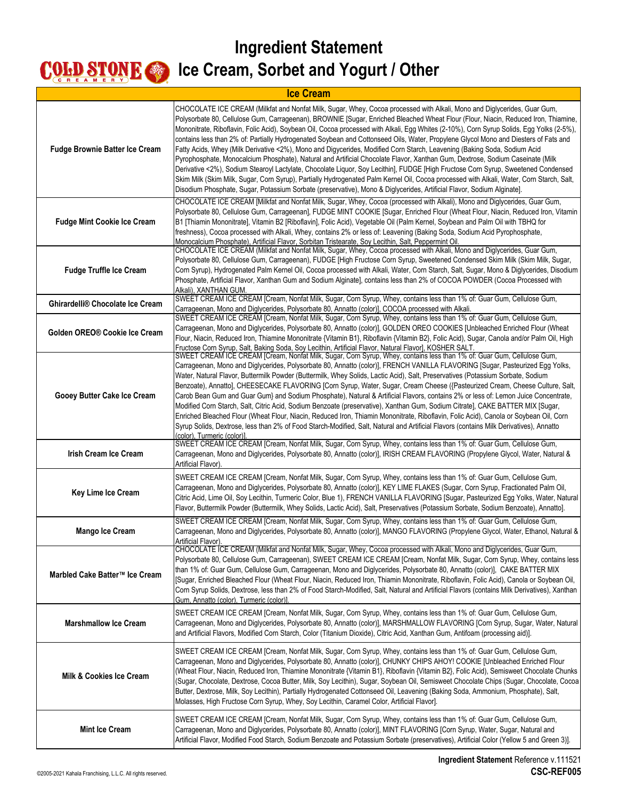| <b>Ice Cream</b>                      |                                                                                                                                                                                                                                                                                                                                                                                                                                                                                                                                                                                                                                                                                                                                                                                                                                                                                                                                                                                                                                                                                                                                                                                                                           |
|---------------------------------------|---------------------------------------------------------------------------------------------------------------------------------------------------------------------------------------------------------------------------------------------------------------------------------------------------------------------------------------------------------------------------------------------------------------------------------------------------------------------------------------------------------------------------------------------------------------------------------------------------------------------------------------------------------------------------------------------------------------------------------------------------------------------------------------------------------------------------------------------------------------------------------------------------------------------------------------------------------------------------------------------------------------------------------------------------------------------------------------------------------------------------------------------------------------------------------------------------------------------------|
| <b>Fudge Brownie Batter Ice Cream</b> | CHOCOLATE ICE CREAM (Milkfat and Nonfat Milk, Sugar, Whey, Cocoa processed with Alkali, Mono and Diglycerides, Guar Gum,<br>Polysorbate 80, Cellulose Gum, Carrageenan), BROWNIE [Sugar, Enriched Bleached Wheat Flour (Flour, Niacin, Reduced Iron, Thiamine,<br>Mononitrate, Riboflavin, Folic Acid), Soybean Oil, Cocoa processed with Alkali, Egg Whites (2-10%), Corn Syrup Solids, Egg Yolks (2-5%),<br>contains less than 2% of: Partially Hydrogenated Soybean and Cottonseed Oils, Water, Propylene Glycol Mono and Diesters of Fats and<br>Fatty Acids, Whey (Milk Derivative <2%), Mono and Digycerides, Modified Corn Starch, Leavening (Baking Soda, Sodium Acid<br>Pyrophosphate, Monocalcium Phosphate), Natural and Artificial Chocolate Flavor, Xanthan Gum, Dextrose, Sodium Caseinate (Milk<br>Derivative <2%), Sodium Stearoyl Lactylate, Chocolate Liquor, Soy Lecithin], FUDGE [High Fructose Corn Syrup, Sweetened Condensed<br>Skim Milk (Skim Milk, Sugar, Corn Syrup), Partially Hydrogenated Palm Kernel Oil, Cocoa processed with Alkali, Water, Corn Starch, Salt,<br>Disodium Phosphate, Sugar, Potassium Sorbate (preservative), Mono & Diglycerides, Artificial Flavor, Sodium Alginate]. |
| <b>Fudge Mint Cookie Ice Cream</b>    | CHOCOLATE ICE CREAM [Milkfat and Nonfat Milk, Sugar, Whey, Cocoa (processed with Alkali), Mono and Diglycerides, Guar Gum,<br>Polysorbate 80, Cellulose Gum, Carrageenan], FUDGE MINT COOKIE [Sugar, Enriched Flour (Wheat Flour, Niacin, Reduced Iron, Vitamin<br>B1 [Thiamin Mononitrate], Vitamin B2 [Riboflavin], Folic Acid), Vegetable Oil (Palm Kernel, Soybean and Palm Oil with TBHQ for<br>freshness), Cocoa processed with Alkali, Whey, contains 2% or less of: Leavening (Baking Soda, Sodium Acid Pyrophosphate,<br>Monocalcium Phosphate), Artificial Flavor, Sorbitan Tristearate, Soy Lecithin, Salt, Peppermint Oil.                                                                                                                                                                                                                                                                                                                                                                                                                                                                                                                                                                                    |
| <b>Fudge Truffle Ice Cream</b>        | CHOCOLATE ICE CREAM (Milkfat and Nonfat Milk, Sugar, Whey, Cocoa processed with Alkali, Mono and Diglycerides, Guar Gum,<br>Polysorbate 80, Cellulose Gum, Carrageenan), FUDGE [High Fructose Corn Syrup, Sweetened Condensed Skim Milk (Skim Milk, Sugar,<br>Corn Syrup), Hydrogenated Palm Kernel Oil, Cocoa processed with Alkali, Water, Corn Starch, Salt, Sugar, Mono & Diglycerides, Disodium<br>Phosphate, Artificial Flavor, Xanthan Gum and Sodium Alginate], contains less than 2% of COCOA POWDER (Cocoa Processed with<br>Alkali), XANTHAN GUM.                                                                                                                                                                                                                                                                                                                                                                                                                                                                                                                                                                                                                                                              |
| Ghirardelli® Chocolate Ice Cream      | SWEET CREAM ICE CREAM [Cream, Nonfat Milk, Sugar, Corn Syrup, Whey, contains less than 1% of: Guar Gum, Cellulose Gum,<br>Carrageenan, Mono and Diglycerides, Polysorbate 80, Annatto (color)], COCOA processed with Alkali.                                                                                                                                                                                                                                                                                                                                                                                                                                                                                                                                                                                                                                                                                                                                                                                                                                                                                                                                                                                              |
| Golden OREO® Cookie Ice Cream         | SWEET CREAM ICE CREAM [Cream, Nonfat Milk, Sugar, Corn Syrup, Whey, contains less than 1% of: Guar Gum, Cellulose Gum,<br>Carrageenan, Mono and Diglycerides, Polysorbate 80, Annatto (color)], GOLDEN OREO COOKIES [Unbleached Enriched Flour (Wheat<br>Flour, Niacin, Reduced Iron, Thiamine Mononitrate {Vitamin B1}, Riboflavin {Vitamin B2}, Folic Acid), Sugar, Canola and/or Palm Oil, High<br>Fructose Corn Syrup, Salt, Baking Soda, Soy Lecithin, Artificial Flavor, Natural Flavor], KOSHER SALT.                                                                                                                                                                                                                                                                                                                                                                                                                                                                                                                                                                                                                                                                                                              |
| Gooey Butter Cake Ice Cream           | SWEET CREAM ICE CREAM [Cream, Nonfat Milk, Sugar, Corn Syrup, Whey, contains less than 1% of: Guar Gum, Cellulose Gum,<br>Carrageenan, Mono and Diglycerides, Polysorbate 80, Annatto (color)], FRENCH VANILLA FLAVORING [Sugar, Pasteurized Egg Yolks,<br>Water, Natural Flavor, Buttermilk Powder (Buttermilk, Whey Solids, Lactic Acid), Salt, Preservatives (Potassium Sorbate, Sodium<br>Benzoate), Annatto], CHEESECAKE FLAVORING [Corn Syrup, Water, Sugar, Cream Cheese ({Pasteurized Cream, Cheese Culture, Salt,<br>Carob Bean Gum and Guar Gum} and Sodium Phosphate), Natural & Artificial Flavors, contains 2% or less of: Lemon Juice Concentrate,<br>Modified Corn Starch, Salt, Citric Acid, Sodium Benzoate (preservative), Xanthan Gum, Sodium Citrate], CAKE BATTER MIX [Sugar,<br>Enriched Bleached Flour (Wheat Flour, Niacin, Reduced Iron, Thiamin Mononitrate, Riboflavin, Folic Acid), Canola or Soybean Oil, Corn<br>Syrup Solids, Dextrose, less than 2% of Food Starch-Modified, Salt, Natural and Artificial Flavors (contains Milk Derivatives), Annatto<br>(color). Turmeric (color)]                                                                                                      |
| <b>Irish Cream Ice Cream</b>          | SWEET CREAM ICE CREAM [Cream, Nonfat Milk, Sugar, Corn Syrup, Whey, contains less than 1% of: Guar Gum, Cellulose Gum,<br>Carrageenan, Mono and Diglycerides, Polysorbate 80, Annatto (color)], IRISH CREAM FLAVORING (Propylene Glycol, Water, Natural &<br>Artificial Flavor)                                                                                                                                                                                                                                                                                                                                                                                                                                                                                                                                                                                                                                                                                                                                                                                                                                                                                                                                           |
| Key Lime Ice Cream                    | SWEET CREAM ICE CREAM [Cream, Nonfat Milk, Sugar, Corn Syrup, Whey, contains less than 1% of: Guar Gum, Cellulose Gum,<br>Carrageenan, Mono and Diglycerides, Polysorbate 80, Annatto (color)], KEY LIME FLAKES (Sugar, Corn Syrup, Fractionated Palm Oil,<br>Citric Acid, Lime Oil, Soy Lecithin, Turmeric Color, Blue 1), FRENCH VANILLA FLAVORING [Sugar, Pasteurized Egg Yolks, Water, Natural<br>Flavor, Buttermilk Powder (Buttermilk, Whey Solids, Lactic Acid), Salt, Preservatives (Potassium Sorbate, Sodium Benzoate), Annattol.                                                                                                                                                                                                                                                                                                                                                                                                                                                                                                                                                                                                                                                                               |
| Mango Ice Cream                       | SWEET CREAM ICE CREAM [Cream, Nonfat Milk, Sugar, Corn Syrup, Whey, contains less than 1% of: Guar Gum, Cellulose Gum,<br>Carrageenan, Mono and Diglycerides, Polysorbate 80, Annatto (color)], MANGO FLAVORING (Propylene Glycol, Water, Ethanol, Natural &<br>Artificial Flavor)                                                                                                                                                                                                                                                                                                                                                                                                                                                                                                                                                                                                                                                                                                                                                                                                                                                                                                                                        |
| Marbled Cake Batter™ Ice Cream        | CHOCOLATE ICE CREAM (Milkfat and Nonfat Milk, Sugar, Whey, Cocoa processed with Alkali, Mono and Diglycerides, Guar Gum,<br>Polysorbate 80, Cellulose Gum, Carrageenan), SWEET CREAM ICE CREAM [Cream, Nonfat Milk, Sugar, Corn Syrup, Whey, contains less<br>than 1% of: Guar Gum, Cellulose Gum, Carrageenan, Mono and Diglycerides, Polysorbate 80, Annatto (color)], CAKE BATTER MIX<br>[Sugar, Enriched Bleached Flour (Wheat Flour, Niacin, Reduced Iron, Thiamin Mononitrate, Riboflavin, Folic Acid), Canola or Soybean Oil,<br>Corn Syrup Solids, Dextrose, less than 2% of Food Starch-Modified, Salt, Natural and Artificial Flavors (contains Milk Derivatives), Xanthan<br>Gum, Annatto (color), Turmeric (color)]                                                                                                                                                                                                                                                                                                                                                                                                                                                                                           |
| <b>Marshmallow Ice Cream</b>          | SWEET CREAM ICE CREAM [Cream, Nonfat Milk, Sugar, Corn Syrup, Whey, contains less than 1% of: Guar Gum, Cellulose Gum,<br>Carrageenan, Mono and Diglycerides, Polysorbate 80, Annatto (color)], MARSHMALLOW FLAVORING [Corn Syrup, Sugar, Water, Natural<br>and Artificial Flavors, Modified Corn Starch, Color (Titanium Dioxide), Citric Acid, Xanthan Gum, Antifoam (processing aid)].                                                                                                                                                                                                                                                                                                                                                                                                                                                                                                                                                                                                                                                                                                                                                                                                                                 |
| <b>Milk &amp; Cookies Ice Cream</b>   | SWEET CREAM ICE CREAM [Cream, Nonfat Milk, Sugar, Corn Syrup, Whey, contains less than 1% of: Guar Gum, Cellulose Gum,<br>Carrageenan, Mono and Diglycerides, Polysorbate 80, Annatto (color)], CHUNKY CHIPS AHOY! COOKIE [Unbleached Enriched Flour<br>(Wheat Flour, Niacin, Reduced Iron, Thiamine Mononitrate {Vitamin B1}, Riboflavin {Vitamin B2}, Folic Acid), Semisweet Chocolate Chunks<br>(Sugar, Chocolate, Dextrose, Cocoa Butter, Milk, Soy Lecithin), Sugar, Soybean Oil, Semisweet Chocolate Chips (Sugar, Chocolate, Cocoa<br>Butter, Dextrose, Milk, Soy Lecithin), Partially Hydrogenated Cottonseed Oil, Leavening (Baking Soda, Ammonium, Phosphate), Salt,<br>Molasses, High Fructose Corn Syrup, Whey, Soy Lecithin, Caramel Color, Artificial Flavor].                                                                                                                                                                                                                                                                                                                                                                                                                                              |
| <b>Mint Ice Cream</b>                 | SWEET CREAM ICE CREAM [Cream, Nonfat Milk, Sugar, Corn Syrup, Whey, contains less than 1% of: Guar Gum, Cellulose Gum,<br>Carrageenan, Mono and Diglycerides, Polysorbate 80, Annatto (color)], MINT FLAVORING [Corn Syrup, Water, Sugar, Natural and<br>Artificial Flavor, Modified Food Starch, Sodium Benzoate and Potassium Sorbate (preservatives), Artificial Color (Yellow 5 and Green 3)].                                                                                                                                                                                                                                                                                                                                                                                                                                                                                                                                                                                                                                                                                                                                                                                                                        |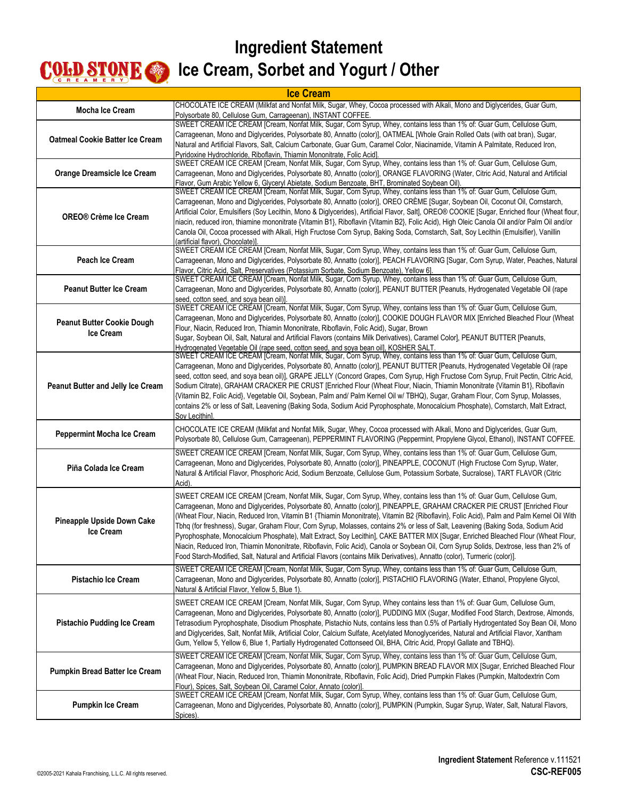| <b>Ice Cream</b>                                      |                                                                                                                                                                                                                                                                                                                                                                                                                                                                                                                                                                                                                                                                                                                                                                                                                                                                                                                                                      |
|-------------------------------------------------------|------------------------------------------------------------------------------------------------------------------------------------------------------------------------------------------------------------------------------------------------------------------------------------------------------------------------------------------------------------------------------------------------------------------------------------------------------------------------------------------------------------------------------------------------------------------------------------------------------------------------------------------------------------------------------------------------------------------------------------------------------------------------------------------------------------------------------------------------------------------------------------------------------------------------------------------------------|
| <b>Mocha Ice Cream</b>                                | CHOCOLATE ICE CREAM (Milkfat and Nonfat Milk, Sugar, Whey, Cocoa processed with Alkali, Mono and Diglycerides, Guar Gum,<br>Polysorbate 80, Cellulose Gum, Carrageenan), INSTANT COFFEE.                                                                                                                                                                                                                                                                                                                                                                                                                                                                                                                                                                                                                                                                                                                                                             |
| <b>Oatmeal Cookie Batter Ice Cream</b>                | SWEET CREAM ICE CREAM [Cream, Nonfat Milk, Sugar, Corn Syrup, Whey, contains less than 1% of: Guar Gum, Cellulose Gum,<br>Carrageenan, Mono and Diglycerides, Polysorbate 80, Annatto (color)], OATMEAL [Whole Grain Rolled Oats (with oat bran), Sugar,<br>Natural and Artificial Flavors, Salt, Calcium Carbonate, Guar Gum, Caramel Color, Niacinamide, Vitamin A Palmitate, Reduced Iron,<br>Pyridoxine Hydrochloride, Riboflavin, Thiamin Mononitrate, Folic Acidl.                                                                                                                                                                                                                                                                                                                                                                                                                                                                             |
| Orange Dreamsicle Ice Cream                           | SWEET CREAM ICE CREAM [Cream, Nonfat Milk, Sugar, Corn Syrup, Whey, contains less than 1% of: Guar Gum, Cellulose Gum,<br>Carrageenan, Mono and Diglycerides, Polysorbate 80, Annatto (color)], ORANGE FLAVORING (Water, Citric Acid, Natural and Artificial<br>Flavor, Gum Arabic Yellow 6, Glyceryl Abietate, Sodium Benzoate, BHT, Brominated Soybean Oil).                                                                                                                                                                                                                                                                                                                                                                                                                                                                                                                                                                                       |
| <b>OREO® Crème Ice Cream</b>                          | SWEET CREAM ICE CREAM [Cream, Nonfat Milk, Sugar, Corn Syrup, Whey, contains less than 1% of: Guar Gum, Cellulose Gum,<br>Carrageenan, Mono and Diglycerides, Polysorbate 80, Annatto (color)], OREO CREME [Sugar, Soybean Oil, Coconut Oil, Cornstarch,<br>Artificial Color, Emulsifiers (Soy Lecithin, Mono & Diglycerides), Artificial Flavor, Salt], OREO® COOKIE [Sugar, Enriched flour (Wheat flour,<br>niacin, reduced iron, thiamine mononitrate {Vitamin B1}, Riboflavin {Vitamin B2}, Folic Acid), High Oleic Canola Oil and/or Palm Oil and/or<br>Canola Oil, Cocoa processed with Alkali, High Fructose Corn Syrup, Baking Soda, Cornstarch, Salt, Soy Lecithin (Emulsifier), Vanillin<br>(artificial flavor), Chocolate)]                                                                                                                                                                                                               |
| Peach Ice Cream                                       | SWEET CREAM ICE CREAM [Cream, Nonfat Milk, Sugar, Corn Syrup, Whey, contains less than 1% of: Guar Gum, Cellulose Gum,<br>Carrageenan, Mono and Diglycerides, Polysorbate 80, Annatto (color)], PEACH FLAVORING [Sugar, Corn Syrup, Water, Peaches, Natural<br>Flavor, Citric Acid, Salt, Preservatives (Potassium Sorbate, Sodium Benzoate), Yellow 61.                                                                                                                                                                                                                                                                                                                                                                                                                                                                                                                                                                                             |
| <b>Peanut Butter Ice Cream</b>                        | SWEET CREAM ICE CREAM [Cream, Nonfat Milk, Sugar, Corn Syrup, Whey, contains less than 1% of: Guar Gum, Cellulose Gum,<br>Carrageenan, Mono and Diglycerides, Polysorbate 80, Annatto (color)], PEANUT BUTTER [Peanuts, Hydrogenated Vegetable Oil (rape<br>seed, cotton seed, and soya bean oil)].                                                                                                                                                                                                                                                                                                                                                                                                                                                                                                                                                                                                                                                  |
| <b>Peanut Butter Cookie Dough</b><br><b>Ice Cream</b> | SWEET CREAM ICE CREAM [Cream, Nonfat Milk, Sugar, Corn Syrup, Whey, contains less than 1% of: Guar Gum, Cellulose Gum,<br>Carrageenan, Mono and Diglycerides, Polysorbate 80, Annatto (color)], COOKIE DOUGH FLAVOR MIX [Enriched Bleached Flour (Wheat<br>Flour, Niacin, Reduced Iron, Thiamin Mononitrate, Riboflavin, Folic Acid), Sugar, Brown<br>Sugar, Soybean Oil, Salt, Natural and Artificial Flavors (contains Milk Derivatives), Caramel Color], PEANUT BUTTER [Peanuts,<br>Hydrogenated Vegetable Oil (rape seed, cotton seed, and soya bean oil), KOSHER SALT.                                                                                                                                                                                                                                                                                                                                                                          |
| <b>Peanut Butter and Jelly Ice Cream</b>              | SWEET CREAM ICE CREAM [Cream, Nonfat Milk, Sugar, Corn Syrup, Whey, contains less than 1% of: Guar Gum, Cellulose Gum,<br>Carrageenan, Mono and Diglycerides, Polysorbate 80, Annatto (color)], PEANUT BUTTER [Peanuts, Hydrogenated Vegetable Oil (rape<br>seed, cotton seed, and soya bean oil)], GRAPE JELLY (Concord Grapes, Corn Syrup, High Fructose Corn Syrup, Fruit Pectin, Citric Acid,<br>Sodium Citrate), GRAHAM CRACKER PIE CRUST [Enriched Flour (Wheat Flour, Niacin, Thiamin Mononitrate {Vitamin B1}, Riboflavin<br>{Vitamin B2, Folic Acid}, Vegetable Oil, Soybean, Palm and/ Palm Kernel Oil w/ TBHQ), Sugar, Graham Flour, Corn Syrup, Molasses,<br>contains 2% or less of Salt, Leavening (Baking Soda, Sodium Acid Pyrophosphate, Monocalcium Phosphate), Cornstarch, Malt Extract,<br>Soy Lecithin].                                                                                                                         |
| <b>Peppermint Mocha Ice Cream</b>                     | CHOCOLATE ICE CREAM (Milkfat and Nonfat Milk, Sugar, Whey, Cocoa processed with Alkali, Mono and Diglycerides, Guar Gum,<br>Polysorbate 80, Cellulose Gum, Carrageenan), PEPPERMINT FLAVORING (Peppermint, Propylene Glycol, Ethanol), INSTANT COFFEE.                                                                                                                                                                                                                                                                                                                                                                                                                                                                                                                                                                                                                                                                                               |
| Piña Colada Ice Cream                                 | SWEET CREAM ICE CREAM [Cream, Nonfat Milk, Sugar, Corn Syrup, Whey, contains less than 1% of: Guar Gum, Cellulose Gum,<br>Carrageenan, Mono and Diglycerides, Polysorbate 80, Annatto (color)], PINEAPPLE, COCONUT (High Fructose Corn Syrup, Water,<br>Natural & Artificial Flavor, Phosphoric Acid, Sodium Benzoate, Cellulose Gum, Potassium Sorbate, Sucralose), TART FLAVOR (Citric<br>Acid).                                                                                                                                                                                                                                                                                                                                                                                                                                                                                                                                                   |
| Pineapple Upside Down Cake<br><b>Ice Cream</b>        | SWEET CREAM ICE CREAM [Cream, Nonfat Milk, Sugar, Corn Syrup, Whey, contains less than 1% of: Guar Gum, Cellulose Gum,<br>Carrageenan, Mono and Diglycerides, Polysorbate 80, Annatto (color)], PINEAPPLE, GRAHAM CRACKER PIE CRUST [Enriched Flour<br>(Wheat Flour, Niacin, Reduced Iron, Vitamin B1 {Thiamin Mononitrate}, Vitamin B2 {Riboflavin}, Folic Acid), Palm and Palm Kernel Oil With<br>Tbhg (for freshness), Sugar, Graham Flour, Corn Syrup, Molasses, contains 2% or less of Salt, Leavening (Baking Soda, Sodium Acid<br>Pyrophosphate, Monocalcium Phosphate), Malt Extract, Soy Lecithin], CAKE BATTER MIX [Sugar, Enriched Bleached Flour (Wheat Flour,<br>Niacin, Reduced Iron, Thiamin Mononitrate, Riboflavin, Folic Acid), Canola or Soybean Oil, Corn Syrup Solids, Dextrose, less than 2% of<br>Food Starch-Modified, Salt, Natural and Artificial Flavors (contains Milk Derivatives), Annatto (color), Turmeric (color)]. |
| <b>Pistachio Ice Cream</b>                            | SWEET CREAM ICE CREAM [Cream, Nonfat Milk, Sugar, Corn Syrup, Whey, contains less than 1% of: Guar Gum, Cellulose Gum,<br>Carrageenan, Mono and Diglycerides, Polysorbate 80, Annatto (color)], PISTACHIO FLAVORING (Water, Ethanol, Propylene Glycol,<br>Natural & Artificial Flavor, Yellow 5, Blue 1).                                                                                                                                                                                                                                                                                                                                                                                                                                                                                                                                                                                                                                            |
| <b>Pistachio Pudding Ice Cream</b>                    | SWEET CREAM ICE CREAM [Cream, Nonfat Milk, Sugar, Corn Syrup, Whey contains less than 1% of: Guar Gum, Cellulose Gum,<br>Carrageenan, Mono and Diglycerides, Polysorbate 80, Annatto (color)], PUDDING MIX (Sugar, Modified Food Starch, Dextrose, Almonds,<br>Tetrasodium Pyrophosphate, Disodium Phosphate, Pistachio Nuts, contains less than 0.5% of Partially Hydrogentated Soy Bean Oil, Mono<br>and Diglycerides, Salt, Nonfat Milk, Artificial Color, Calcium Sulfate, Acetylated Monoglycerides, Natural and Artificial Flavor, Xantham<br>Gum, Yellow 5, Yellow 6, Blue 1, Partially Hydrogenated Cottonseed Oil, BHA, Citric Acid, Propyl Gallate and TBHQ).                                                                                                                                                                                                                                                                              |
| <b>Pumpkin Bread Batter Ice Cream</b>                 | SWEET CREAM ICE CREAM [Cream, Nonfat Milk, Sugar, Corn Syrup, Whey, contains less than 1% of: Guar Gum, Cellulose Gum,<br>Carrageenan, Mono and Diglycerides, Polysorbate 80, Annatto (color)], PUMPKIN BREAD FLAVOR MIX [Sugar, Enriched Bleached Flour<br>(Wheat Flour, Niacin, Reduced Iron, Thiamin Mononitrate, Riboflavin, Folic Acid), Dried Pumpkin Flakes (Pumpkin, Maltodextrin Corn<br>Flour), Spices, Salt, Soybean Oil, Caramel Color, Annato (color)].                                                                                                                                                                                                                                                                                                                                                                                                                                                                                 |
| <b>Pumpkin Ice Cream</b>                              | SWEET CREAM ICE CREAM [Cream, Nonfat Milk, Sugar, Corn Syrup, Whey, contains less than 1% of: Guar Gum, Cellulose Gum,<br>Carrageenan, Mono and Diglycerides, Polysorbate 80, Annatto (color)], PUMPKIN (Pumpkin, Sugar Syrup, Water, Salt, Natural Flavors,<br>Spices).                                                                                                                                                                                                                                                                                                                                                                                                                                                                                                                                                                                                                                                                             |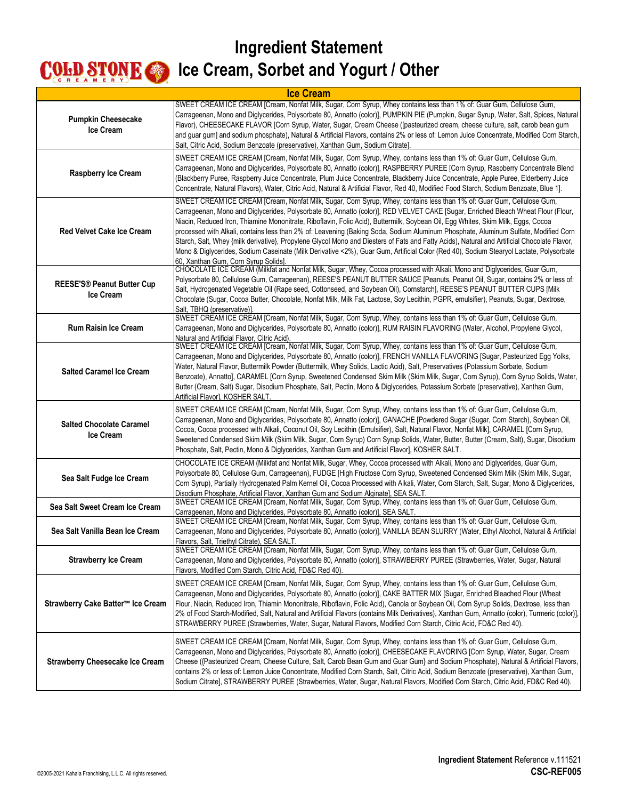| <b>Ice Cream</b>                                      |                                                                                                                                                                                                                                                                                                                                                                                                                                                                                                                                                                                                                                                                                                                                                                                                                                                                        |
|-------------------------------------------------------|------------------------------------------------------------------------------------------------------------------------------------------------------------------------------------------------------------------------------------------------------------------------------------------------------------------------------------------------------------------------------------------------------------------------------------------------------------------------------------------------------------------------------------------------------------------------------------------------------------------------------------------------------------------------------------------------------------------------------------------------------------------------------------------------------------------------------------------------------------------------|
| <b>Pumpkin Cheesecake</b><br><b>Ice Cream</b>         | SWEET CREAM ICE CREAM [Cream, Nonfat Milk, Sugar, Corn Syrup, Whey contains less than 1% of: Guar Gum, Cellulose Gum,<br>Carrageenan, Mono and Diglycerides, Polysorbate 80, Annatto (color)], PUMPKIN PIE (Pumpkin, Sugar Syrup, Water, Salt, Spices, Natural<br>Flavor), CHEESECAKE FLAVOR [Corn Syrup, Water, Sugar, Cream Cheese ([pasteurized cream, cheese culture, salt, carob bean gum<br>and guar gum] and sodium phosphate), Natural & Artificial Flavors, contains 2% or less of: Lemon Juice Concentrate, Modified Corn Starch,<br>Salt, Citric Acid, Sodium Benzoate (preservative), Xanthan Gum, Sodium Citrate].                                                                                                                                                                                                                                        |
| Raspberry Ice Cream                                   | SWEET CREAM ICE CREAM [Cream, Nonfat Milk, Sugar, Corn Syrup, Whey, contains less than 1% of: Guar Gum, Cellulose Gum,<br>Carrageenan, Mono and Diglycerides, Polysorbate 80, Annatto (color)], RASPBERRY PUREE [Corn Syrup, Raspberry Concentrate Blend<br>(Blackberry Puree, Raspberry Juice Concentrate, Plum Juice Concentrate, Blackberry Juice Concentrate, Apple Puree, Elderberry Juice<br>Concentrate, Natural Flavors), Water, Citric Acid, Natural & Artificial Flavor, Red 40, Modified Food Starch, Sodium Benzoate, Blue 1].                                                                                                                                                                                                                                                                                                                             |
| <b>Red Velvet Cake Ice Cream</b>                      | SWEET CREAM ICE CREAM [Cream, Nonfat Milk, Sugar, Corn Syrup, Whey, contains less than 1% of: Guar Gum, Cellulose Gum,<br>Carrageenan, Mono and Diglycerides, Polysorbate 80, Annatto (color)], RED VELVET CAKE [Sugar, Enriched Bleach Wheat Flour (Flour,<br>Niacin, Reduced Iron, Thiamine Mononitrate, Riboflavin, Folic Acid), Buttermilk, Soybean Oil, Egg Whites, Skim Milk, Eggs, Cocoa<br>processed with Alkali, contains less than 2% of: Leavening (Baking Soda, Sodium Aluminum Phosphate, Aluminum Sulfate, Modified Corn<br>Starch, Salt, Whey {milk derivative}, Propylene Glycol Mono and Diesters of Fats and Fatty Acids), Natural and Artificial Chocolate Flavor,<br>Mono & Diglycerides, Sodium Caseinate (Milk Derivative <2%), Guar Gum, Artificial Color (Red 40), Sodium Stearyol Lactate, Polysorbate<br>60, Xanthan Gum, Corn Syrup Solids] |
| <b>REESE'S® Peanut Butter Cup</b><br><b>Ice Cream</b> | CHOCOLATE ICE CREAM (Milkfat and Nonfat Milk, Sugar, Whey, Cocoa processed with Alkali, Mono and Diglycerides, Guar Gum,<br>Polysorbate 80, Cellulose Gum, Carrageenan), REESE'S PEANUT BUTTER SAUCE [Peanuts, Peanut Oil, Sugar, contains 2% or less of:<br>Salt, Hydrogenated Vegetable Oil (Rape seed, Cottonseed, and Soybean Oil), Cornstarch], REESE'S PEANUT BUTTER CUPS [Milk<br>Chocolate (Sugar, Cocoa Butter, Chocolate, Nonfat Milk, Milk Fat, Lactose, Soy Lecithin, PGPR, emulsifier), Peanuts, Sugar, Dextrose,<br>Salt, TBHQ (preservative)].                                                                                                                                                                                                                                                                                                          |
| <b>Rum Raisin Ice Cream</b>                           | SWEET CREAM ICE CREAM [Cream, Nonfat Milk, Sugar, Corn Syrup, Whey, contains less than 1% of: Guar Gum, Cellulose Gum,<br>Carrageenan, Mono and Diglycerides, Polysorbate 80, Annatto (color)], RUM RAISIN FLAVORING (Water, Alcohol, Propylene Glycol,<br>Natural and Artificial Flavor, Citric Acid).                                                                                                                                                                                                                                                                                                                                                                                                                                                                                                                                                                |
| <b>Salted Caramel Ice Cream</b>                       | SWEET CREAM ICE CREAM [Cream, Nonfat Milk, Sugar, Corn Syrup, Whey, contains less than 1% of: Guar Gum, Cellulose Gum,<br>Carrageenan, Mono and Diglycerides, Polysorbate 80, Annatto (color)], FRENCH VANILLA FLAVORING [Sugar, Pasteurized Egg Yolks,<br>Water, Natural Flavor, Buttermilk Powder (Buttermilk, Whey Solids, Lactic Acid), Salt, Preservatives (Potassium Sorbate, Sodium<br>Benzoate), Annatto], CARAMEL [Corn Syrup, Sweetened Condensed Skim Milk (Skim Milk, Sugar, Corn Syrup), Corn Syrup Solids, Water,<br>Butter (Cream, Salt) Sugar, Disodium Phosphate, Salt, Pectin, Mono & Diglycerides, Potassium Sorbate (preservative), Xanthan Gum,<br>Artificial Flavor], KOSHER SALT.                                                                                                                                                               |
| <b>Salted Chocolate Caramel</b><br><b>Ice Cream</b>   | SWEET CREAM ICE CREAM [Cream, Nonfat Milk, Sugar, Corn Syrup, Whey, contains less than 1% of: Guar Gum, Cellulose Gum,<br>Carrageenan, Mono and Diglycerides, Polysorbate 80, Annatto (color)], GANACHE [Powdered Sugar (Sugar, Corn Starch), Soybean Oil,<br>Cocoa, Cocoa processed with Alkali, Coconut Oil, Soy Lecithin (Emulsifier), Salt, Natural Flavor, Nonfat Milk], CARAMEL [Corn Syrup,<br>Sweetened Condensed Skim Milk (Skim Milk, Sugar, Corn Syrup) Corn Syrup Solids, Water, Butter, Butter (Cream, Salt), Sugar, Disodium<br>Phosphate, Salt, Pectin, Mono & Diglycerides, Xanthan Gum and Artificial Flavor], KOSHER SALT.                                                                                                                                                                                                                           |
| Sea Salt Fudge Ice Cream                              | CHOCOLATE ICE CREAM (Milkfat and Nonfat Milk, Sugar, Whey, Cocoa processed with Alkali, Mono and Diglycerides, Guar Gum,<br>Polysorbate 80, Cellulose Gum, Carrageenan), FUDGE [High Fructose Corn Syrup, Sweetened Condensed Skim Milk (Skim Milk, Sugar,<br>Corn Syrup), Partially Hydrogenated Palm Kernel Oil, Cocoa Processed with Alkali, Water, Corn Starch, Salt, Sugar, Mono & Diglycerides,<br>Disodium Phosphate, Artificial Flavor, Xanthan Gum and Sodium Alginate], SEA SALT.                                                                                                                                                                                                                                                                                                                                                                            |
| Sea Salt Sweet Cream Ice Cream                        | SWEET CREAM ICE CREAM [Cream, Nonfat Milk, Sugar, Corn Syrup, Whey, contains less than 1% of: Guar Gum, Cellulose Gum,<br>Carrageenan, Mono and Diglycerides, Polysorbate 80, Annatto (color)], SEA SALT.                                                                                                                                                                                                                                                                                                                                                                                                                                                                                                                                                                                                                                                              |
| Sea Salt Vanilla Bean Ice Cream                       | SWEET CREAM ICE CREAM [Cream, Nonfat Milk, Sugar, Corn Syrup, Whey, contains less than 1% of: Guar Gum, Cellulose Gum,<br>Carrageenan, Mono and Diglycerides, Polysorbate 80, Annatto (color)], VANILLA BEAN SLURRY (Water, Ethyl Alcohol, Natural & Artificial<br>Flavors, Salt, Triethyl Citrate), SEA SALT,                                                                                                                                                                                                                                                                                                                                                                                                                                                                                                                                                         |
| <b>Strawberry Ice Cream</b>                           | SWEET CREAM ICE CREAM [Cream, Nonfat Milk, Sugar, Corn Syrup, Whey, contains less than 1% of: Guar Gum, Cellulose Gum,<br>Carrageenan, Mono and Diglycerides, Polysorbate 80, Annatto (color)], STRAWBERRY PUREE (Strawberries, Water, Sugar, Natural<br>Flavors, Modified Corn Starch, Citric Acid, FD&C Red 40).                                                                                                                                                                                                                                                                                                                                                                                                                                                                                                                                                     |
| Strawberry Cake Batter™ Ice Cream                     | SWEET CREAM ICE CREAM [Cream, Nonfat Milk, Sugar, Corn Syrup, Whey, contains less than 1% of: Guar Gum, Cellulose Gum,<br>Carrageenan, Mono and Diglycerides, Polysorbate 80, Annatto (color)], CAKE BATTER MIX [Sugar, Enriched Bleached Flour (Wheat<br>Flour, Niacin, Reduced Iron, Thiamin Mononitrate, Riboflavin, Folic Acid), Canola or Soybean Oil, Corn Syrup Solids, Dextrose, less than<br>2% of Food Starch-Modified, Salt, Natural and Artificial Flavors (contains Milk Derivatives), Xanthan Gum, Annatto (color), Turmeric (color)],<br>STRAWBERRY PUREE (Strawberries, Water, Sugar, Natural Flavors, Modified Corn Starch, Citric Acid, FD&C Red 40).                                                                                                                                                                                                |
| <b>Strawberry Cheesecake Ice Cream</b>                | SWEET CREAM ICE CREAM [Cream, Nonfat Milk, Sugar, Corn Syrup, Whey, contains less than 1% of: Guar Gum, Cellulose Gum,<br>Carrageenan, Mono and Diglycerides, Polysorbate 80, Annatto (color)], CHEESECAKE FLAVORING [Corn Syrup, Water, Sugar, Cream<br>Cheese ({Pasteurized Cream, Cheese Culture, Salt, Carob Bean Gum and Guar Gum} and Sodium Phosphate), Natural & Artificial Flavors,<br>contains 2% or less of: Lemon Juice Concentrate, Modified Corn Starch, Salt, Citric Acid, Sodium Benzoate (preservative), Xanthan Gum,<br>Sodium Citrate], STRAWBERRY PUREE (Strawberries, Water, Sugar, Natural Flavors, Modified Corn Starch, Citric Acid, FD&C Red 40).                                                                                                                                                                                             |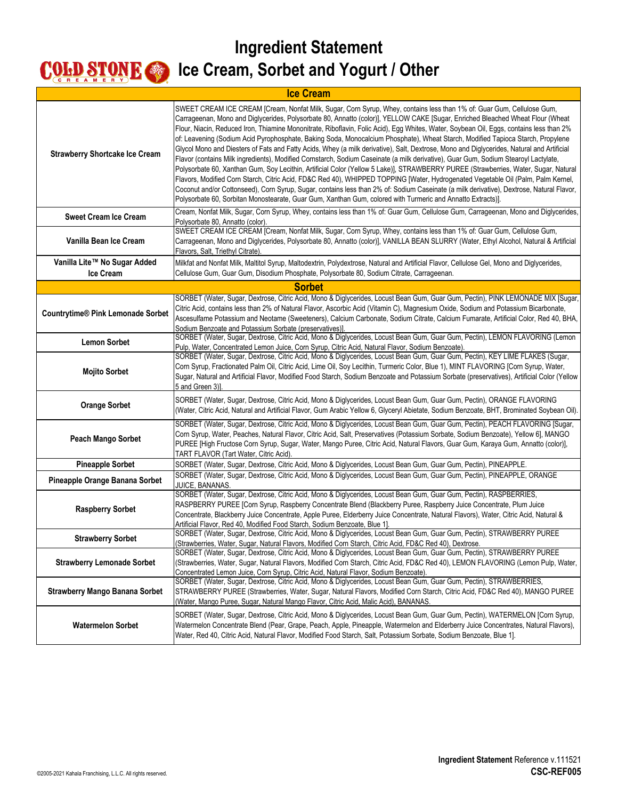| <b>Ice Cream</b>                          |                                                                                                                                                                                                                                                                                                                                                                                                                                                                                                                                                                                                                                                                                                                                                                                                                                                                                                                                                                                                                                                                                                                                                                                                                                                                                                                                                                  |
|-------------------------------------------|------------------------------------------------------------------------------------------------------------------------------------------------------------------------------------------------------------------------------------------------------------------------------------------------------------------------------------------------------------------------------------------------------------------------------------------------------------------------------------------------------------------------------------------------------------------------------------------------------------------------------------------------------------------------------------------------------------------------------------------------------------------------------------------------------------------------------------------------------------------------------------------------------------------------------------------------------------------------------------------------------------------------------------------------------------------------------------------------------------------------------------------------------------------------------------------------------------------------------------------------------------------------------------------------------------------------------------------------------------------|
| <b>Strawberry Shortcake Ice Cream</b>     | SWEET CREAM ICE CREAM [Cream, Nonfat Milk, Sugar, Corn Syrup, Whey, contains less than 1% of: Guar Gum, Cellulose Gum,<br>Carrageenan, Mono and Diglycerides, Polysorbate 80, Annatto (color)], YELLOW CAKE [Sugar, Enriched Bleached Wheat Flour (Wheat<br>Flour, Niacin, Reduced Iron, Thiamine Mononitrate, Riboflavin, Folic Acid), Egg Whites, Water, Soybean Oil, Eggs, contains less than 2%<br>of: Leavening (Sodium Acid Pyrophosphate, Baking Soda, Monocalcium Phosphate), Wheat Starch, Modified Tapioca Starch, Propylene<br>Glycol Mono and Diesters of Fats and Fatty Acids, Whey (a milk derivative), Salt, Dextrose, Mono and Diglycerides, Natural and Artificial<br>Flavor (contains Milk ingredients), Modified Cornstarch, Sodium Caseinate (a milk derivative), Guar Gum, Sodium Stearoyl Lactylate,<br>Polysorbate 60, Xanthan Gum, Soy Lecithin, Artificial Color (Yellow 5 Lake)], STRAWBERRY PUREE (Strawberries, Water, Sugar, Natural<br>Flavors, Modified Corn Starch, Citric Acid, FD&C Red 40), WHIPPED TOPPING [Water, Hydrogenated Vegetable Oil (Palm, Palm Kernel,<br>Coconut and/or Cottonseed), Corn Syrup, Sugar, contains less than 2% of: Sodium Caseinate (a milk derivative), Dextrose, Natural Flavor,<br>Polysorbate 60, Sorbitan Monostearate, Guar Gum, Xanthan Gum, colored with Turmeric and Annatto Extracts)]. |
| <b>Sweet Cream Ice Cream</b>              | Cream, Nonfat Milk, Sugar, Corn Syrup, Whey, contains less than 1% of: Guar Gum, Cellulose Gum, Carrageenan, Mono and Diglycerides,<br>Polysorbate 80, Annatto (color).                                                                                                                                                                                                                                                                                                                                                                                                                                                                                                                                                                                                                                                                                                                                                                                                                                                                                                                                                                                                                                                                                                                                                                                          |
| Vanilla Bean Ice Cream                    | SWEET CREAM ICE CREAM [Cream, Nonfat Milk, Sugar, Corn Syrup, Whey, contains less than 1% of: Guar Gum, Cellulose Gum,<br>Carrageenan, Mono and Diglycerides, Polysorbate 80, Annatto (color)], VANILLA BEAN SLURRY (Water, Ethyl Alcohol, Natural & Artificial<br>Flavors, Salt, Triethyl Citrate).                                                                                                                                                                                                                                                                                                                                                                                                                                                                                                                                                                                                                                                                                                                                                                                                                                                                                                                                                                                                                                                             |
| Vanilla Lite™ No Sugar Added<br>Ice Cream | Milkfat and Nonfat Milk, Maltitol Syrup, Maltodextrin, Polydextrose, Natural and Artificial Flavor, Cellulose Gel, Mono and Diglycerides,<br>Cellulose Gum, Guar Gum, Disodium Phosphate, Polysorbate 80, Sodium Citrate, Carrageenan.                                                                                                                                                                                                                                                                                                                                                                                                                                                                                                                                                                                                                                                                                                                                                                                                                                                                                                                                                                                                                                                                                                                           |
|                                           |                                                                                                                                                                                                                                                                                                                                                                                                                                                                                                                                                                                                                                                                                                                                                                                                                                                                                                                                                                                                                                                                                                                                                                                                                                                                                                                                                                  |
|                                           | <b>Sorbet</b><br>SORBET (Water, Sugar, Dextrose, Citric Acid, Mono & Diglycerides, Locust Bean Gum, Guar Gum, Pectin), PINK LEMONADE MIX [Sugar,                                                                                                                                                                                                                                                                                                                                                                                                                                                                                                                                                                                                                                                                                                                                                                                                                                                                                                                                                                                                                                                                                                                                                                                                                 |
| <b>Countrytime® Pink Lemonade Sorbet</b>  | Citric Acid, contains less than 2% of Natural Flavor, Ascorbic Acid (Vitamin C), Magnesium Oxide, Sodium and Potassium Bicarbonate,<br>Ascesulfame Potassium and Neotame (Sweeteners), Calcium Carbonate, Sodium Citrate, Calcium Fumarate, Artificial Color, Red 40, BHA,<br>Sodium Benzoate and Potassium Sorbate (preservatives)].                                                                                                                                                                                                                                                                                                                                                                                                                                                                                                                                                                                                                                                                                                                                                                                                                                                                                                                                                                                                                            |
| <b>Lemon Sorbet</b>                       | SORBET (Water, Sugar, Dextrose, Citric Acid, Mono & Diglycerides, Locust Bean Gum, Guar Gum, Pectin), LEMON FLAVORING (Lemon<br>Pulp, Water, Concentrated Lemon Juice, Corn Syrup, Citric Acid, Natural Flavor, Sodium Benzoate).                                                                                                                                                                                                                                                                                                                                                                                                                                                                                                                                                                                                                                                                                                                                                                                                                                                                                                                                                                                                                                                                                                                                |
| <b>Mojito Sorbet</b>                      | SORBET (Water, Sugar, Dextrose, Citric Acid, Mono & Diglycerides, Locust Bean Gum, Guar Gum, Pectin), KEY LIME FLAKES (Sugar,<br>Corn Syrup, Fractionated Palm Oil, Citric Acid, Lime Oil, Soy Lecithin, Turmeric Color, Blue 1), MINT FLAVORING [Corn Syrup, Water,<br>Sugar, Natural and Artificial Flavor, Modified Food Starch, Sodium Benzoate and Potassium Sorbate (preservatives), Artificial Color (Yellow<br>5 and Green 3)].                                                                                                                                                                                                                                                                                                                                                                                                                                                                                                                                                                                                                                                                                                                                                                                                                                                                                                                          |
| <b>Orange Sorbet</b>                      | SORBET (Water, Sugar, Dextrose, Citric Acid, Mono & Diglycerides, Locust Bean Gum, Guar Gum, Pectin), ORANGE FLAVORING<br>(Water, Citric Acid, Natural and Artificial Flavor, Gum Arabic Yellow 6, Glyceryl Abietate, Sodium Benzoate, BHT, Brominated Soybean Oil).                                                                                                                                                                                                                                                                                                                                                                                                                                                                                                                                                                                                                                                                                                                                                                                                                                                                                                                                                                                                                                                                                             |
| Peach Mango Sorbet                        | SORBET (Water, Sugar, Dextrose, Citric Acid, Mono & Diglycerides, Locust Bean Gum, Guar Gum, Pectin), PEACH FLAVORING [Sugar,<br>Corn Syrup, Water, Peaches, Natural Flavor, Citric Acid, Salt, Preservatives (Potassium Sorbate, Sodium Benzoate), Yellow 6], MANGO<br>PUREE [High Fructose Corn Syrup, Sugar, Water, Mango Puree, Citric Acid, Natural Flavors, Guar Gum, Karaya Gum, Annatto (color)],<br>TART FLAVOR (Tart Water, Citric Acid)                                                                                                                                                                                                                                                                                                                                                                                                                                                                                                                                                                                                                                                                                                                                                                                                                                                                                                               |
| <b>Pineapple Sorbet</b>                   | SORBET (Water, Sugar, Dextrose, Citric Acid, Mono & Diglycerides, Locust Bean Gum, Guar Gum, Pectin), PINEAPPLE.                                                                                                                                                                                                                                                                                                                                                                                                                                                                                                                                                                                                                                                                                                                                                                                                                                                                                                                                                                                                                                                                                                                                                                                                                                                 |
| Pineapple Orange Banana Sorbet            | SORBET (Water, Sugar, Dextrose, Citric Acid, Mono & Diglycerides, Locust Bean Gum, Guar Gum, Pectin), PINEAPPLE, ORANGE<br>JUICE, BANANAS.                                                                                                                                                                                                                                                                                                                                                                                                                                                                                                                                                                                                                                                                                                                                                                                                                                                                                                                                                                                                                                                                                                                                                                                                                       |
| <b>Raspberry Sorbet</b>                   | SORBET (Water, Sugar, Dextrose, Citric Acid, Mono & Diglycerides, Locust Bean Gum, Guar Gum, Pectin), RASPBERRIES,<br>RASPBERRY PUREE [Corn Syrup, Raspberry Concentrate Blend (Blackberry Puree, Raspberry Juice Concentrate, Plum Juice<br>Concentrate, Blackberry Juice Concentrate, Apple Puree, Elderberry Juice Concentrate, Natural Flavors), Water, Citric Acid, Natural &<br>Artificial Flavor, Red 40, Modified Food Starch, Sodium Benzoate, Blue 1].                                                                                                                                                                                                                                                                                                                                                                                                                                                                                                                                                                                                                                                                                                                                                                                                                                                                                                 |
| <b>Strawberry Sorbet</b>                  | SORBET (Water, Sugar, Dextrose, Citric Acid, Mono & Diglycerides, Locust Bean Gum, Guar Gum, Pectin), STRAWBERRY PUREE<br>(Strawberries, Water, Sugar, Natural Flavors, Modified Corn Starch, Citric Acid, FD&C Red 40), Dextrose.                                                                                                                                                                                                                                                                                                                                                                                                                                                                                                                                                                                                                                                                                                                                                                                                                                                                                                                                                                                                                                                                                                                               |
| <b>Strawberry Lemonade Sorbet</b>         | SORBET (Water, Sugar, Dextrose, Citric Acid, Mono & Diglycerides, Locust Bean Gum, Guar Gum, Pectin), STRAWBERRY PUREE<br>(Strawberries, Water, Sugar, Natural Flavors, Modified Corn Starch, Citric Acid, FD&C Red 40), LEMON FLAVORING (Lemon Pulp, Water,<br>Concentrated Lemon Juice, Corn Syrup, Citric Acid, Natural Flavor, Sodium Benzoate).                                                                                                                                                                                                                                                                                                                                                                                                                                                                                                                                                                                                                                                                                                                                                                                                                                                                                                                                                                                                             |
| <b>Strawberry Mango Banana Sorbet</b>     | SORBET (Water, Sugar, Dextrose, Citric Acid, Mono & Diglycerides, Locust Bean Gum, Guar Gum, Pectin), STRAWBERRIES,<br>STRAWBERRY PUREE (Strawberries, Water, Sugar, Natural Flavors, Modified Corn Starch, Citric Acid, FD&C Red 40), MANGO PUREE<br>(Water, Mango Puree, Sugar, Natural Mango Flavor, Citric Acid, Malic Acid), BANANAS.                                                                                                                                                                                                                                                                                                                                                                                                                                                                                                                                                                                                                                                                                                                                                                                                                                                                                                                                                                                                                       |
| <b>Watermelon Sorbet</b>                  | SORBET (Water, Sugar, Dextrose, Citric Acid, Mono & Diglycerides, Locust Bean Gum, Guar Gum, Pectin), WATERMELON [Corn Syrup,<br>Watermelon Concentrate Blend (Pear, Grape, Peach, Apple, Pineapple, Watermelon and Elderberry Juice Concentrates, Natural Flavors),<br>Water, Red 40, Citric Acid, Natural Flavor, Modified Food Starch, Salt, Potassium Sorbate, Sodium Benzoate, Blue 11.                                                                                                                                                                                                                                                                                                                                                                                                                                                                                                                                                                                                                                                                                                                                                                                                                                                                                                                                                                     |